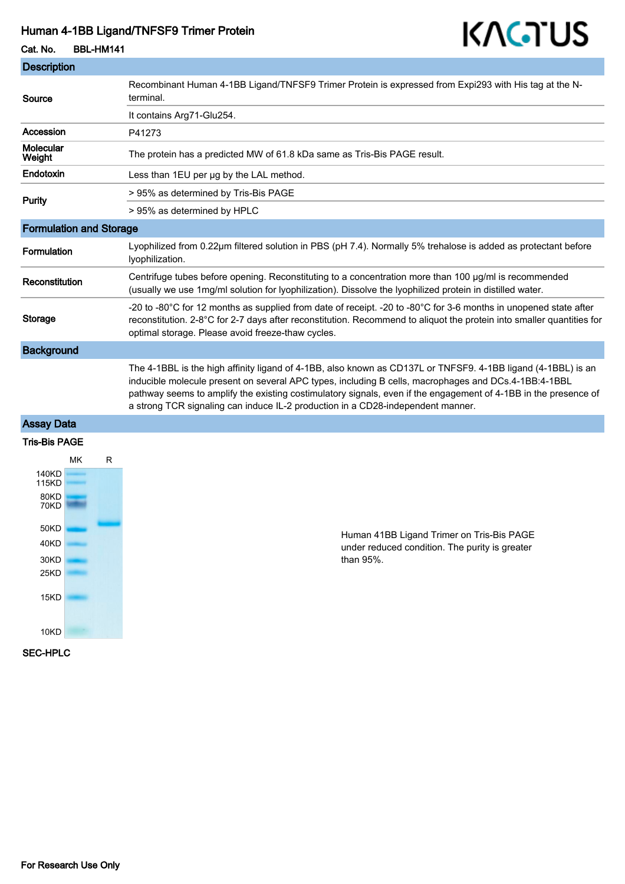#### Human 4-1BB Ligand/TNFSF9 Trimer Protein

# KAGTUS

Cat. No. BBL-HM141

| <b>Description</b>             |                                                                                                                                                                                                                                                                                                                                                                                                                            |
|--------------------------------|----------------------------------------------------------------------------------------------------------------------------------------------------------------------------------------------------------------------------------------------------------------------------------------------------------------------------------------------------------------------------------------------------------------------------|
| Source                         | Recombinant Human 4-1BB Ligand/TNFSF9 Trimer Protein is expressed from Expi293 with His tag at the N-<br>terminal.                                                                                                                                                                                                                                                                                                         |
|                                | It contains Arg71-Glu254.                                                                                                                                                                                                                                                                                                                                                                                                  |
| Accession                      | P41273                                                                                                                                                                                                                                                                                                                                                                                                                     |
| Molecular<br>Weight            | The protein has a predicted MW of 61.8 kDa same as Tris-Bis PAGE result.                                                                                                                                                                                                                                                                                                                                                   |
| <b>Endotoxin</b>               | Less than 1EU per ug by the LAL method.                                                                                                                                                                                                                                                                                                                                                                                    |
| Purity                         | > 95% as determined by Tris-Bis PAGE                                                                                                                                                                                                                                                                                                                                                                                       |
|                                | > 95% as determined by HPLC                                                                                                                                                                                                                                                                                                                                                                                                |
| <b>Formulation and Storage</b> |                                                                                                                                                                                                                                                                                                                                                                                                                            |
| Formulation                    | Lyophilized from 0.22µm filtered solution in PBS (pH 7.4). Normally 5% trehalose is added as protectant before<br>lyophilization.                                                                                                                                                                                                                                                                                          |
| Reconstitution                 | Centrifuge tubes before opening. Reconstituting to a concentration more than 100 µg/ml is recommended<br>(usually we use 1mg/ml solution for lyophilization). Dissolve the lyophilized protein in distilled water.                                                                                                                                                                                                         |
| <b>Storage</b>                 | -20 to -80°C for 12 months as supplied from date of receipt. -20 to -80°C for 3-6 months in unopened state after<br>reconstitution. 2-8°C for 2-7 days after reconstitution. Recommend to aliquot the protein into smaller quantities for<br>optimal storage. Please avoid freeze-thaw cycles.                                                                                                                             |
| <b>Background</b>              |                                                                                                                                                                                                                                                                                                                                                                                                                            |
|                                | The 4-1BBL is the high affinity ligand of 4-1BB, also known as CD137L or TNFSF9. 4-1BB ligand (4-1BBL) is an<br>inducible molecule present on several APC types, including B cells, macrophages and DCs.4-1BB:4-1BBL<br>pathway seems to amplify the existing costimulatory signals, even if the engagement of 4-1BB in the presence of<br>a strong TCR signaling can induce IL-2 production in a CD28-independent manner. |
| <b>Assay Data</b>              |                                                                                                                                                                                                                                                                                                                                                                                                                            |
| Tric_Ric DACE                  |                                                                                                                                                                                                                                                                                                                                                                                                                            |

#### Tris-Bis PAGE



Human 41BB Ligand Trimer on Tris-Bis PAGE under reduced condition. The purity is greater than 95%.

SEC-HPLC